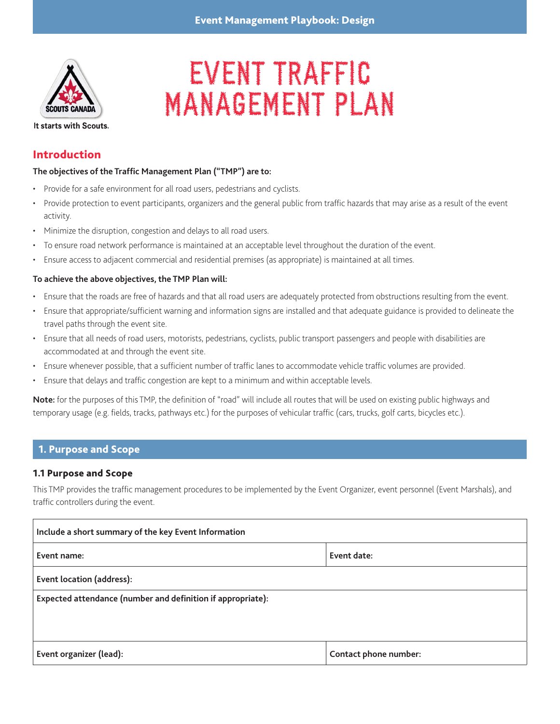

# EVENT TRAFFIC MANAGEMENT PLAN

It starts with Scouts.

## Introduction

## **The objectives of the Traffic Management Plan ("TMP") are to:**

- Provide for a safe environment for all road users, pedestrians and cyclists.
- Provide protection to event participants, organizers and the general public from traffic hazards that may arise as a result of the event activity.
- Minimize the disruption, congestion and delays to all road users.
- To ensure road network performance is maintained at an acceptable level throughout the duration of the event.
- Ensure access to adjacent commercial and residential premises (as appropriate) is maintained at all times.

## **To achieve the above objectives, the TMP Plan will:**

- Ensure that the roads are free of hazards and that all road users are adequately protected from obstructions resulting from the event.
- Ensure that appropriate/sufficient warning and information signs are installed and that adequate guidance is provided to delineate the travel paths through the event site.
- Ensure that all needs of road users, motorists, pedestrians, cyclists, public transport passengers and people with disabilities are accommodated at and through the event site.
- Ensure whenever possible, that a sufficient number of traffic lanes to accommodate vehicle traffic volumes are provided.
- Ensure that delays and traffic congestion are kept to a minimum and within acceptable levels.

**Note:** for the purposes of this TMP, the definition of "road" will include all routes that will be used on existing public highways and temporary usage (e.g. fields, tracks, pathways etc.) for the purposes of vehicular traffic (cars, trucks, golf carts, bicycles etc.).

## 1. Purpose and Scope

## 1.1 Purpose and Scope

This TMP provides the traffic management procedures to be implemented by the Event Organizer, event personnel (Event Marshals), and traffic controllers during the event.

| Include a short summary of the key Event Information        |                       |
|-------------------------------------------------------------|-----------------------|
| Event name:                                                 | Event date:           |
| Event location (address):                                   |                       |
| Expected attendance (number and definition if appropriate): |                       |
|                                                             |                       |
| Event organizer (lead):                                     | Contact phone number: |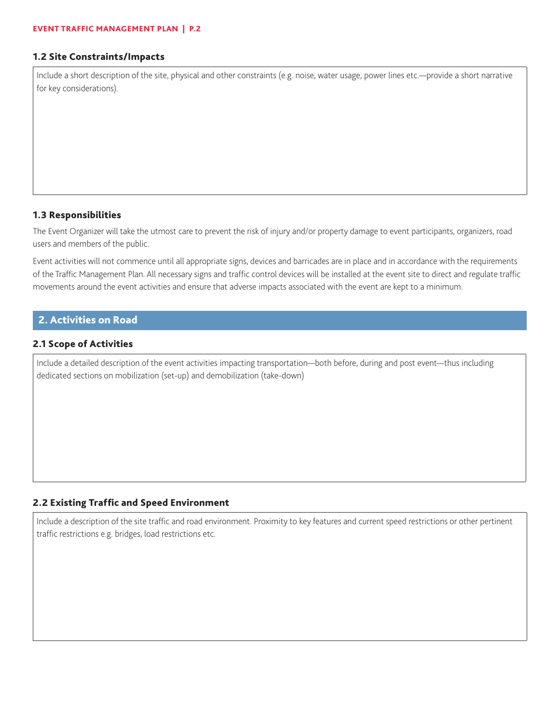#### 1.2 Site Constraints/Impacts

Include a short description of the site, physical and other constraints (e.g. noise, water usage, power lines etc.—provide a short narrative for key considerations).

#### 1.3 Responsibilities

The Event Organizer will take the utmost care to prevent the risk of injury and/or property damage to event participants, organizers, road users and members of the public.

Event activities will not commence until all appropriate signs, devices and barricades are in place and in accordance with the requirements of the Traffic Management Plan. All necessary signs and traffic control devices will be installed at the event site to direct and regulate traffic movements around the event activities and ensure that adverse impacts associated with the event are kept to a minimum.

## 2. Activities on Road

#### 2.1 Scope of Activities

Include a detailed description of the event activities impacting transportation—both before, during and post event—thus including dedicated sections on mobilization (set-up) and demobilization (take-down)

## 2.2 Existing Traffic and Speed Environment

Include a description of the site traffic and road environment. Proximity to key features and current speed restrictions or other pertinent traffic restrictions e.g. bridges, load restrictions etc.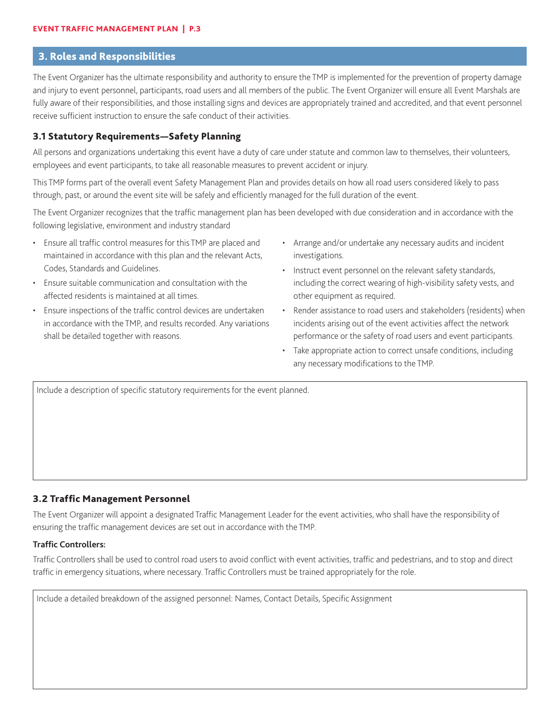## 3. Roles and Responsibilities

The Event Organizer has the ultimate responsibility and authority to ensure the TMP is implemented for the prevention of property damage and injury to event personnel, participants, road users and all members of the public. The Event Organizer will ensure all Event Marshals are fully aware of their responsibilities, and those installing signs and devices are appropriately trained and accredited, and that event personnel receive sufficient instruction to ensure the safe conduct of their activities.

#### 3.1 Statutory Requirements—Safety Planning

All persons and organizations undertaking this event have a duty of care under statute and common law to themselves, their volunteers, employees and event participants, to take all reasonable measures to prevent accident or injury.

This TMP forms part of the overall event Safety Management Plan and provides details on how all road users considered likely to pass through, past, or around the event site will be safely and efficiently managed for the full duration of the event.

The Event Organizer recognizes that the traffic management plan has been developed with due consideration and in accordance with the following legislative, environment and industry standard

- Ensure all traffic control measures for this TMP are placed and maintained in accordance with this plan and the relevant Acts, Codes, Standards and Guidelines.
- Ensure suitable communication and consultation with the affected residents is maintained at all times.
- Ensure inspections of the traffic control devices are undertaken in accordance with the TMP, and results recorded. Any variations shall be detailed together with reasons.
- Arrange and/or undertake any necessary audits and incident investigations.
- Instruct event personnel on the relevant safety standards, including the correct wearing of high-visibility safety vests, and other equipment as required.
- Render assistance to road users and stakeholders (residents) when incidents arising out of the event activities affect the network performance or the safety of road users and event participants.
- Take appropriate action to correct unsafe conditions, including any necessary modifications to the TMP.

Include a description of specific statutory requirements for the event planned.

#### 3.2 Traffic Management Personnel

The Event Organizer will appoint a designated Traffic Management Leader for the event activities, who shall have the responsibility of ensuring the traffic management devices are set out in accordance with the TMP.

### **Traffic Controllers:**

Traffic Controllers shall be used to control road users to avoid conflict with event activities, traffic and pedestrians, and to stop and direct traffic in emergency situations, where necessary. Traffic Controllers must be trained appropriately for the role.

Include a detailed breakdown of the assigned personnel: Names, Contact Details, Specific Assignment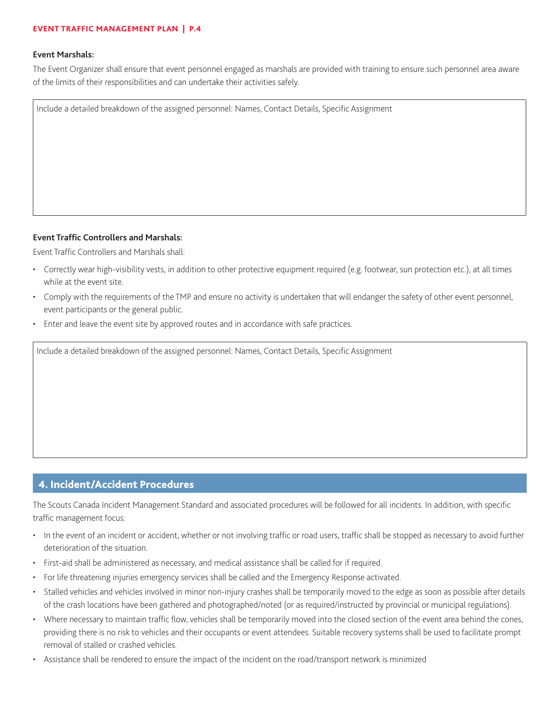#### EVENT TRAFFIC MANAGEMENT PLAN | P.4

#### **Event Marshals:**

The Event Organizer shall ensure that event personnel engaged as marshals are provided with training to ensure such personnel area aware of the limits of their responsibilities and can undertake their activities safely.

Include a detailed breakdown of the assigned personnel: Names, Contact Details, Specific Assignment

#### **Event Traffic Controllers and Marshals:**

Event Traffic Controllers and Marshals shall:

- Correctly wear high-visibility vests, in addition to other protective equipment required (e.g. footwear, sun protection etc.), at all times while at the event site.
- Comply with the requirements of the TMP and ensure no activity is undertaken that will endanger the safety of other event personnel, event participants or the general public.
- Enter and leave the event site by approved routes and in accordance with safe practices.

Include a detailed breakdown of the assigned personnel: Names, Contact Details, Specific Assignment

## 4. Incident/Accident Procedures

The Scouts Canada Incident Management Standard and associated procedures will be followed for all incidents. In addition, with specific traffic management focus:

- In the event of an incident or accident, whether or not involving traffic or road users, traffic shall be stopped as necessary to avoid further deterioration of the situation.
- First-aid shall be administered as necessary, and medical assistance shall be called for if required.
- For life threatening injuries emergency services shall be called and the Emergency Response activated.
- Stalled vehicles and vehicles involved in minor non-injury crashes shall be temporarily moved to the edge as soon as possible after details of the crash locations have been gathered and photographed/noted (or as required/instructed by provincial or municipal regulations).
- Where necessary to maintain traffic flow, vehicles shall be temporarily moved into the closed section of the event area behind the cones, providing there is no risk to vehicles and their occupants or event attendees. Suitable recovery systems shall be used to facilitate prompt removal of stalled or crashed vehicles.
- Assistance shall be rendered to ensure the impact of the incident on the road/transport network is minimized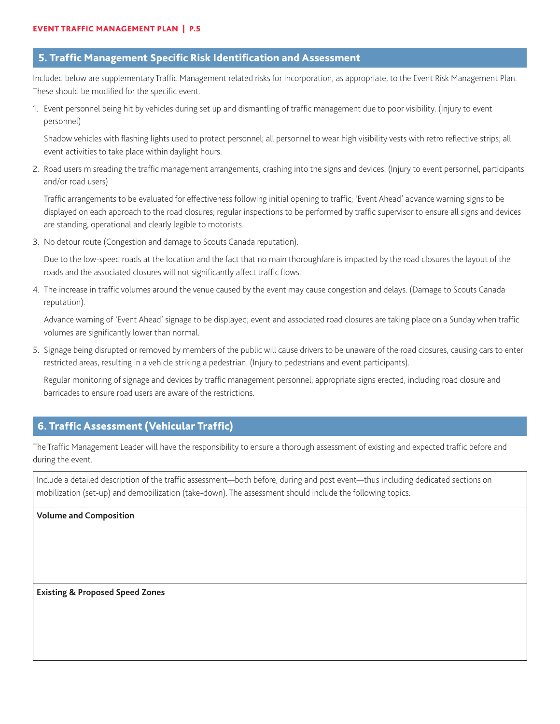#### 5. Traffic Management Specific Risk Identification and Assessment

Included below are supplementary Traffic Management related risks for incorporation, as appropriate, to the Event Risk Management Plan. These should be modified for the specific event.

1. Event personnel being hit by vehicles during set up and dismantling of traffic management due to poor visibility. (Injury to event personnel)

Shadow vehicles with flashing lights used to protect personnel; all personnel to wear high visibility vests with retro reflective strips; all event activities to take place within daylight hours.

2. Road users misreading the traffic management arrangements, crashing into the signs and devices. (Injury to event personnel, participants and/or road users)

Traffic arrangements to be evaluated for effectiveness following initial opening to traffic; 'Event Ahead' advance warning signs to be displayed on each approach to the road closures; regular inspections to be performed by traffic supervisor to ensure all signs and devices are standing, operational and clearly legible to motorists.

3. No detour route (Congestion and damage to Scouts Canada reputation).

Due to the low-speed roads at the location and the fact that no main thoroughfare is impacted by the road closures the layout of the roads and the associated closures will not significantly affect traffic flows.

4. The increase in traffic volumes around the venue caused by the event may cause congestion and delays. (Damage to Scouts Canada reputation).

Advance warning of 'Event Ahead' signage to be displayed; event and associated road closures are taking place on a Sunday when traffic volumes are significantly lower than normal.

5. Signage being disrupted or removed by members of the public will cause drivers to be unaware of the road closures, causing cars to enter restricted areas, resulting in a vehicle striking a pedestrian. (Injury to pedestrians and event participants).

Regular monitoring of signage and devices by traffic management personnel; appropriate signs erected, including road closure and barricades to ensure road users are aware of the restrictions.

## 6. Traffic Assessment (Vehicular Traffic)

The Traffic Management Leader will have the responsibility to ensure a thorough assessment of existing and expected traffic before and during the event.

Include a detailed description of the traffic assessment—both before, during and post event—thus including dedicated sections on mobilization (set-up) and demobilization (take-down). The assessment should include the following topics:

**Volume and Composition**

**Existing & Proposed Speed Zones**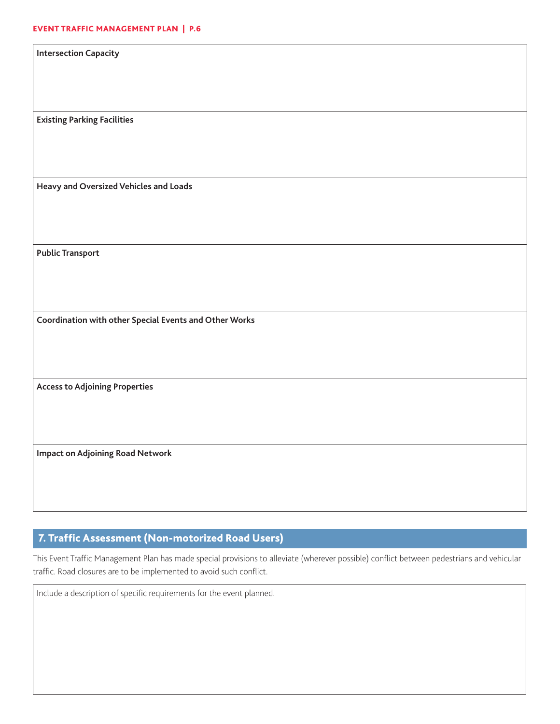| <b>Intersection Capacity</b>                           |
|--------------------------------------------------------|
|                                                        |
|                                                        |
| <b>Existing Parking Facilities</b>                     |
|                                                        |
|                                                        |
| Heavy and Oversized Vehicles and Loads                 |
|                                                        |
|                                                        |
| <b>Public Transport</b>                                |
|                                                        |
|                                                        |
| Coordination with other Special Events and Other Works |
|                                                        |
|                                                        |
| <b>Access to Adjoining Properties</b>                  |
|                                                        |
|                                                        |
|                                                        |
| <b>Impact on Adjoining Road Network</b>                |
|                                                        |
|                                                        |

# 7. Traffic Assessment (Non-motorized Road Users)

This Event Traffic Management Plan has made special provisions to alleviate (wherever possible) conflict between pedestrians and vehicular traffic. Road closures are to be implemented to avoid such conflict.

Include a description of specific requirements for the event planned.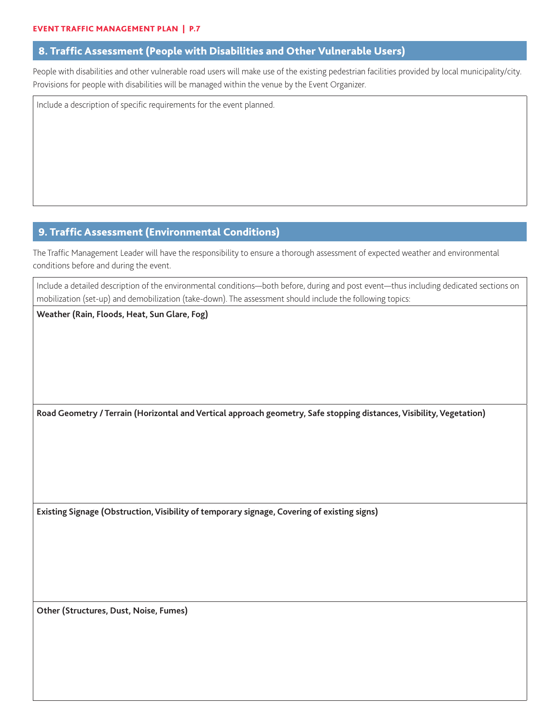## 8. Traffic Assessment (People with Disabilities and Other Vulnerable Users)

People with disabilities and other vulnerable road users will make use of the existing pedestrian facilities provided by local municipality/city. Provisions for people with disabilities will be managed within the venue by the Event Organizer.

Include a description of specific requirements for the event planned.

## 9. Traffic Assessment (Environmental Conditions)

The Traffic Management Leader will have the responsibility to ensure a thorough assessment of expected weather and environmental conditions before and during the event.

Include a detailed description of the environmental conditions—both before, during and post event—thus including dedicated sections on mobilization (set-up) and demobilization (take-down). The assessment should include the following topics:

**Weather (Rain, Floods, Heat, Sun Glare, Fog)**

**Road Geometry / Terrain (Horizontal and Vertical approach geometry, Safe stopping distances, Visibility, Vegetation)**

**Existing Signage (Obstruction, Visibility of temporary signage, Covering of existing signs)**

**Other (Structures, Dust, Noise, Fumes)**